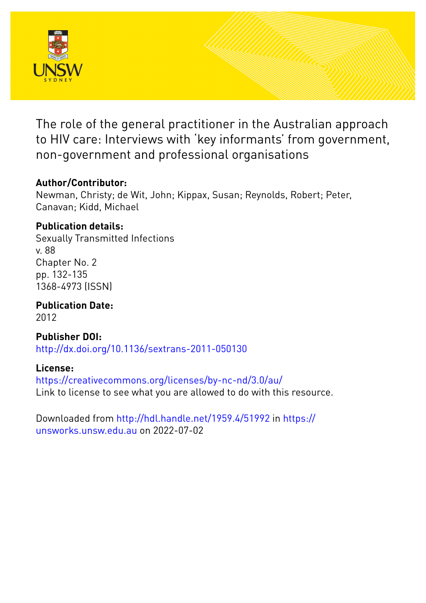

The role of the general practitioner in the Australian approach to HIV care: Interviews with 'key informants' from government, non-government and professional organisations

# **Author/Contributor:**

Newman, Christy; de Wit, John; Kippax, Susan; Reynolds, Robert; Peter, Canavan; Kidd, Michael

# **Publication details:**

Sexually Transmitted Infections v. 88 Chapter No. 2 pp. 132-135 1368-4973 (ISSN)

**Publication Date:** 2012

**Publisher DOI:** [http://dx.doi.org/10.1136/sextrans-2011-050130](http://dx.doi.org/http://dx.doi.org/10.1136/sextrans-2011-050130)

# **License:**

<https://creativecommons.org/licenses/by-nc-nd/3.0/au/> Link to license to see what you are allowed to do with this resource.

Downloaded from <http://hdl.handle.net/1959.4/51992> in [https://](https://unsworks.unsw.edu.au) [unsworks.unsw.edu.au](https://unsworks.unsw.edu.au) on 2022-07-02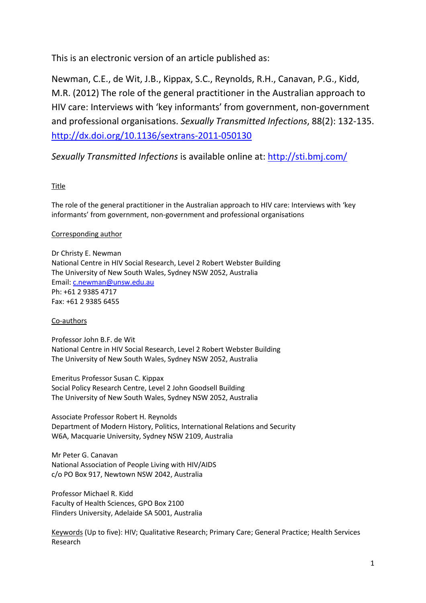This is an electronic version of an article published as:

Newman, C.E., de Wit, J.B., Kippax, S.C., Reynolds, R.H., Canavan, P.G., Kidd, M.R. (2012) The role of the general practitioner in the Australian approach to HIV care: Interviews with 'key informants' from government, non-government and professional organisations. *Sexually Transmitted Infections*, 88(2): 132-135. <http://dx.doi.org/10.1136/sextrans-2011-050130>

*Sexually Transmitted Infections* is available online at:<http://sti.bmj.com/>

# Title

The role of the general practitioner in the Australian approach to HIV care: Interviews with 'key informants' from government, non-government and professional organisations

## Corresponding author

Dr Christy E. Newman National Centre in HIV Social Research, Level 2 Robert Webster Building The University of New South Wales, Sydney NSW 2052, Australia Email: [c.newman@unsw.edu.au](mailto:c.newman@unsw.edu.au) Ph: +61 2 9385 4717 Fax: +61 2 9385 6455

## Co-authors

Professor John B.F. de Wit National Centre in HIV Social Research, Level 2 Robert Webster Building The University of New South Wales, Sydney NSW 2052, Australia

Emeritus Professor Susan C. Kippax Social Policy Research Centre, Level 2 John Goodsell Building The University of New South Wales, Sydney NSW 2052, Australia

Associate Professor Robert H. Reynolds Department of Modern History, Politics, International Relations and Security W6A, Macquarie University, Sydney NSW 2109, Australia

Mr Peter G. Canavan National Association of People Living with HIV/AIDS c/o PO Box 917, Newtown NSW 2042, Australia

Professor Michael R. Kidd Faculty of Health Sciences, GPO Box 2100 Flinders University, Adelaide SA 5001, Australia

Keywords (Up to five): HIV; Qualitative Research; Primary Care; General Practice; Health Services Research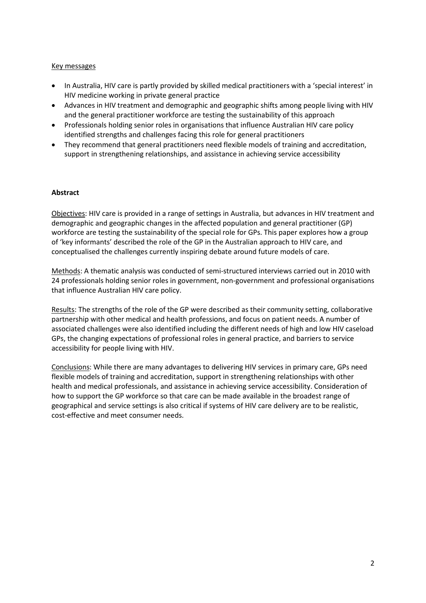#### Key messages

- In Australia, HIV care is partly provided by skilled medical practitioners with a 'special interest' in HIV medicine working in private general practice
- Advances in HIV treatment and demographic and geographic shifts among people living with HIV and the general practitioner workforce are testing the sustainability of this approach
- Professionals holding senior roles in organisations that influence Australian HIV care policy identified strengths and challenges facing this role for general practitioners
- They recommend that general practitioners need flexible models of training and accreditation, support in strengthening relationships, and assistance in achieving service accessibility

#### **Abstract**

Objectives: HIV care is provided in a range of settings in Australia, but advances in HIV treatment and demographic and geographic changes in the affected population and general practitioner (GP) workforce are testing the sustainability of the special role for GPs. This paper explores how a group of 'key informants' described the role of the GP in the Australian approach to HIV care, and conceptualised the challenges currently inspiring debate around future models of care.

Methods: A thematic analysis was conducted of semi-structured interviews carried out in 2010 with 24 professionals holding senior roles in government, non-government and professional organisations that influence Australian HIV care policy.

Results: The strengths of the role of the GP were described as their community setting, collaborative partnership with other medical and health professions, and focus on patient needs. A number of associated challenges were also identified including the different needs of high and low HIV caseload GPs, the changing expectations of professional roles in general practice, and barriers to service accessibility for people living with HIV.

Conclusions: While there are many advantages to delivering HIV services in primary care, GPs need flexible models of training and accreditation, support in strengthening relationships with other health and medical professionals, and assistance in achieving service accessibility. Consideration of how to support the GP workforce so that care can be made available in the broadest range of geographical and service settings is also critical if systems of HIV care delivery are to be realistic, cost-effective and meet consumer needs.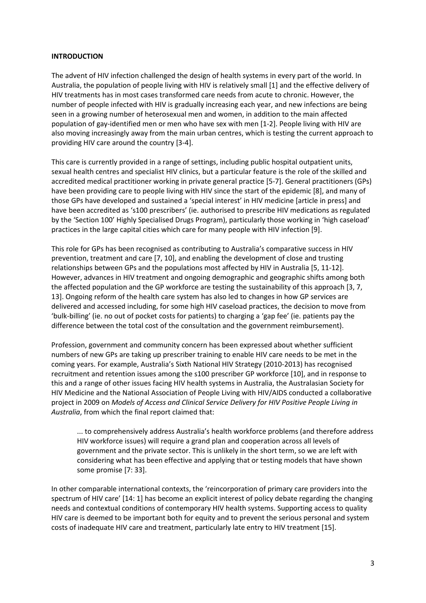#### **INTRODUCTION**

The advent of HIV infection challenged the design of health systems in every part of the world. In Australia, the population of people living with HIV is relatively small [1] and the effective delivery of HIV treatments has in most cases transformed care needs from acute to chronic. However, the number of people infected with HIV is gradually increasing each year, and new infections are being seen in a growing number of heterosexual men and women, in addition to the main affected population of gay-identified men or men who have sex with men [1-2]. People living with HIV are also moving increasingly away from the main urban centres, which is testing the current approach to providing HIV care around the country [3-4].

This care is currently provided in a range of settings, including public hospital outpatient units, sexual health centres and specialist HIV clinics, but a particular feature is the role of the skilled and accredited medical practitioner working in private general practice [5-7]. General practitioners (GPs) have been providing care to people living with HIV since the start of the epidemic [8], and many of those GPs have developed and sustained a 'special interest' in HIV medicine [article in press] and have been accredited as 's100 prescribers' (ie. authorised to prescribe HIV medications as regulated by the 'Section 100' Highly Specialised Drugs Program), particularly those working in 'high caseload' practices in the large capital cities which care for many people with HIV infection [9].

This role for GPs has been recognised as contributing to Australia's comparative success in HIV prevention, treatment and care [7, 10], and enabling the development of close and trusting relationships between GPs and the populations most affected by HIV in Australia [5, 11-12]. However, advances in HIV treatment and ongoing demographic and geographic shifts among both the affected population and the GP workforce are testing the sustainability of this approach [3, 7, 13]. Ongoing reform of the health care system has also led to changes in how GP services are delivered and accessed including, for some high HIV caseload practices, the decision to move from 'bulk-billing' (ie. no out of pocket costs for patients) to charging a 'gap fee' (ie. patients pay the difference between the total cost of the consultation and the government reimbursement).

Profession, government and community concern has been expressed about whether sufficient numbers of new GPs are taking up prescriber training to enable HIV care needs to be met in the coming years. For example, Australia's Sixth National HIV Strategy (2010-2013) has recognised recruitment and retention issues among the s100 prescriber GP workforce [10], and in response to this and a range of other issues facing HIV health systems in Australia, the Australasian Society for HIV Medicine and the National Association of People Living with HIV/AIDS conducted a collaborative project in 2009 on *Models of Access and Clinical Service Delivery for HIV Positive People Living in Australia*, from which the final report claimed that:

... to comprehensively address Australia's health workforce problems (and therefore address HIV workforce issues) will require a grand plan and cooperation across all levels of government and the private sector. This is unlikely in the short term, so we are left with considering what has been effective and applying that or testing models that have shown some promise [7: 33].

In other comparable international contexts, the 'reincorporation of primary care providers into the spectrum of HIV care' [14: 1] has become an explicit interest of policy debate regarding the changing needs and contextual conditions of contemporary HIV health systems. Supporting access to quality HIV care is deemed to be important both for equity and to prevent the serious personal and system costs of inadequate HIV care and treatment, particularly late entry to HIV treatment [15].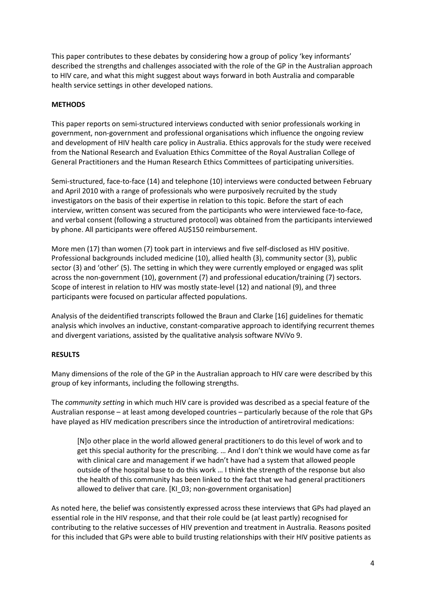This paper contributes to these debates by considering how a group of policy 'key informants' described the strengths and challenges associated with the role of the GP in the Australian approach to HIV care, and what this might suggest about ways forward in both Australia and comparable health service settings in other developed nations.

#### **METHODS**

This paper reports on semi-structured interviews conducted with senior professionals working in government, non-government and professional organisations which influence the ongoing review and development of HIV health care policy in Australia. Ethics approvals for the study were received from the National Research and Evaluation Ethics Committee of the Royal Australian College of General Practitioners and the Human Research Ethics Committees of participating universities.

Semi-structured, face-to-face (14) and telephone (10) interviews were conducted between February and April 2010 with a range of professionals who were purposively recruited by the study investigators on the basis of their expertise in relation to this topic. Before the start of each interview, written consent was secured from the participants who were interviewed face-to-face, and verbal consent (following a structured protocol) was obtained from the participants interviewed by phone. All participants were offered AU\$150 reimbursement.

More men (17) than women (7) took part in interviews and five self-disclosed as HIV positive. Professional backgrounds included medicine (10), allied health (3), community sector (3), public sector (3) and 'other' (5). The setting in which they were currently employed or engaged was split across the non-government (10), government (7) and professional education/training (7) sectors. Scope of interest in relation to HIV was mostly state-level (12) and national (9), and three participants were focused on particular affected populations.

Analysis of the deidentified transcripts followed the Braun and Clarke [16] guidelines for thematic analysis which involves an inductive, constant-comparative approach to identifying recurrent themes and divergent variations, assisted by the qualitative analysis software NViVo 9.

## **RESULTS**

Many dimensions of the role of the GP in the Australian approach to HIV care were described by this group of key informants, including the following strengths.

The *community setting* in which much HIV care is provided was described as a special feature of the Australian response – at least among developed countries – particularly because of the role that GPs have played as HIV medication prescribers since the introduction of antiretroviral medications:

[N]o other place in the world allowed general practitioners to do this level of work and to get this special authority for the prescribing. … And I don't think we would have come as far with clinical care and management if we hadn't have had a system that allowed people outside of the hospital base to do this work … I think the strength of the response but also the health of this community has been linked to the fact that we had general practitioners allowed to deliver that care. [KI\_03; non-government organisation]

As noted here, the belief was consistently expressed across these interviews that GPs had played an essential role in the HIV response, and that their role could be (at least partly) recognised for contributing to the relative successes of HIV prevention and treatment in Australia. Reasons posited for this included that GPs were able to build trusting relationships with their HIV positive patients as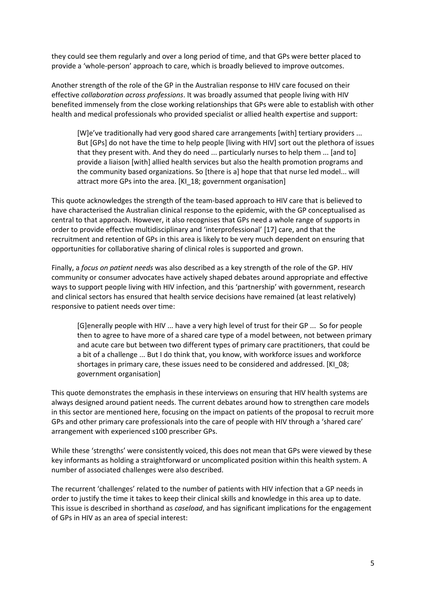they could see them regularly and over a long period of time, and that GPs were better placed to provide a 'whole-person' approach to care, which is broadly believed to improve outcomes.

Another strength of the role of the GP in the Australian response to HIV care focused on their effective *collaboration across professions*. It was broadly assumed that people living with HIV benefited immensely from the close working relationships that GPs were able to establish with other health and medical professionals who provided specialist or allied health expertise and support:

[W]e've traditionally had very good shared care arrangements [with] tertiary providers ... But [GPs] do not have the time to help people [living with HIV] sort out the plethora of issues that they present with. And they do need ... particularly nurses to help them ... [and to] provide a liaison [with] allied health services but also the health promotion programs and the community based organizations. So [there is a] hope that that nurse led model... will attract more GPs into the area. [KI\_18; government organisation]

This quote acknowledges the strength of the team-based approach to HIV care that is believed to have characterised the Australian clinical response to the epidemic, with the GP conceptualised as central to that approach. However, it also recognises that GPs need a whole range of supports in order to provide effective multidisciplinary and 'interprofessional' [17] care, and that the recruitment and retention of GPs in this area is likely to be very much dependent on ensuring that opportunities for collaborative sharing of clinical roles is supported and grown.

Finally, a *focus on patient needs* was also described as a key strength of the role of the GP. HIV community or consumer advocates have actively shaped debates around appropriate and effective ways to support people living with HIV infection, and this 'partnership' with government, research and clinical sectors has ensured that health service decisions have remained (at least relatively) responsive to patient needs over time:

[G]enerally people with HIV ... have a very high level of trust for their GP ... So for people then to agree to have more of a shared care type of a model between, not between primary and acute care but between two different types of primary care practitioners, that could be a bit of a challenge ... But I do think that, you know, with workforce issues and workforce shortages in primary care, these issues need to be considered and addressed. [KI\_08; government organisation]

This quote demonstrates the emphasis in these interviews on ensuring that HIV health systems are always designed around patient needs. The current debates around how to strengthen care models in this sector are mentioned here, focusing on the impact on patients of the proposal to recruit more GPs and other primary care professionals into the care of people with HIV through a 'shared care' arrangement with experienced s100 prescriber GPs.

While these 'strengths' were consistently voiced, this does not mean that GPs were viewed by these key informants as holding a straightforward or uncomplicated position within this health system. A number of associated challenges were also described.

The recurrent 'challenges' related to the number of patients with HIV infection that a GP needs in order to justify the time it takes to keep their clinical skills and knowledge in this area up to date. This issue is described in shorthand as *caseload*, and has significant implications for the engagement of GPs in HIV as an area of special interest: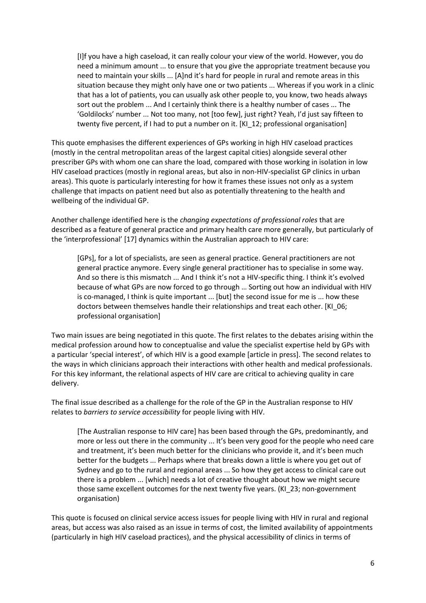[I]f you have a high caseload, it can really colour your view of the world. However, you do need a minimum amount ... to ensure that you give the appropriate treatment because you need to maintain your skills ... [A]nd it's hard for people in rural and remote areas in this situation because they might only have one or two patients ... Whereas if you work in a clinic that has a lot of patients, you can usually ask other people to, you know, two heads always sort out the problem ... And I certainly think there is a healthy number of cases ... The 'Goldilocks' number ... Not too many, not [too few], just right? Yeah, I'd just say fifteen to twenty five percent, if I had to put a number on it. [KI\_12; professional organisation]

This quote emphasises the different experiences of GPs working in high HIV caseload practices (mostly in the central metropolitan areas of the largest capital cities) alongside several other prescriber GPs with whom one can share the load, compared with those working in isolation in low HIV caseload practices (mostly in regional areas, but also in non-HIV-specialist GP clinics in urban areas). This quote is particularly interesting for how it frames these issues not only as a system challenge that impacts on patient need but also as potentially threatening to the health and wellbeing of the individual GP.

Another challenge identified here is the *changing expectations of professional roles* that are described as a feature of general practice and primary health care more generally, but particularly of the 'interprofessional' [17] dynamics within the Australian approach to HIV care:

[GPs], for a lot of specialists, are seen as general practice. General practitioners are not general practice anymore. Every single general practitioner has to specialise in some way. And so there is this mismatch ... And I think it's not a HIV-specific thing. I think it's evolved because of what GPs are now forced to go through … Sorting out how an individual with HIV is co-managed, I think is quite important ... [but] the second issue for me is ... how these doctors between themselves handle their relationships and treat each other. [KI\_06; professional organisation]

Two main issues are being negotiated in this quote. The first relates to the debates arising within the medical profession around how to conceptualise and value the specialist expertise held by GPs with a particular 'special interest', of which HIV is a good example [article in press]. The second relates to the ways in which clinicians approach their interactions with other health and medical professionals. For this key informant, the relational aspects of HIV care are critical to achieving quality in care delivery.

The final issue described as a challenge for the role of the GP in the Australian response to HIV relates to *barriers to service accessibility* for people living with HIV.

[The Australian response to HIV care] has been based through the GPs, predominantly, and more or less out there in the community ... It's been very good for the people who need care and treatment, it's been much better for the clinicians who provide it, and it's been much better for the budgets ... Perhaps where that breaks down a little is where you get out of Sydney and go to the rural and regional areas ... So how they get access to clinical care out there is a problem ... [which] needs a lot of creative thought about how we might secure those same excellent outcomes for the next twenty five years. (KI\_23; non-government organisation)

This quote is focused on clinical service access issues for people living with HIV in rural and regional areas, but access was also raised as an issue in terms of cost, the limited availability of appointments (particularly in high HIV caseload practices), and the physical accessibility of clinics in terms of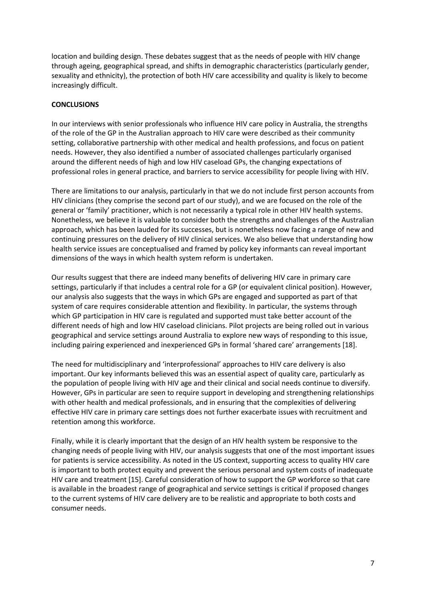location and building design. These debates suggest that as the needs of people with HIV change through ageing, geographical spread, and shifts in demographic characteristics (particularly gender, sexuality and ethnicity), the protection of both HIV care accessibility and quality is likely to become increasingly difficult.

#### **CONCLUSIONS**

In our interviews with senior professionals who influence HIV care policy in Australia, the strengths of the role of the GP in the Australian approach to HIV care were described as their community setting, collaborative partnership with other medical and health professions, and focus on patient needs. However, they also identified a number of associated challenges particularly organised around the different needs of high and low HIV caseload GPs, the changing expectations of professional roles in general practice, and barriers to service accessibility for people living with HIV.

There are limitations to our analysis, particularly in that we do not include first person accounts from HIV clinicians (they comprise the second part of our study), and we are focused on the role of the general or 'family' practitioner, which is not necessarily a typical role in other HIV health systems. Nonetheless, we believe it is valuable to consider both the strengths and challenges of the Australian approach, which has been lauded for its successes, but is nonetheless now facing a range of new and continuing pressures on the delivery of HIV clinical services. We also believe that understanding how health service issues are conceptualised and framed by policy key informants can reveal important dimensions of the ways in which health system reform is undertaken.

Our results suggest that there are indeed many benefits of delivering HIV care in primary care settings, particularly if that includes a central role for a GP (or equivalent clinical position). However, our analysis also suggests that the ways in which GPs are engaged and supported as part of that system of care requires considerable attention and flexibility. In particular, the systems through which GP participation in HIV care is regulated and supported must take better account of the different needs of high and low HIV caseload clinicians. Pilot projects are being rolled out in various geographical and service settings around Australia to explore new ways of responding to this issue, including pairing experienced and inexperienced GPs in formal 'shared care' arrangements [18].

The need for multidisciplinary and 'interprofessional' approaches to HIV care delivery is also important. Our key informants believed this was an essential aspect of quality care, particularly as the population of people living with HIV age and their clinical and social needs continue to diversify. However, GPs in particular are seen to require support in developing and strengthening relationships with other health and medical professionals, and in ensuring that the complexities of delivering effective HIV care in primary care settings does not further exacerbate issues with recruitment and retention among this workforce.

Finally, while it is clearly important that the design of an HIV health system be responsive to the changing needs of people living with HIV, our analysis suggests that one of the most important issues for patients is service accessibility. As noted in the US context, supporting access to quality HIV care is important to both protect equity and prevent the serious personal and system costs of inadequate HIV care and treatment [15]. Careful consideration of how to support the GP workforce so that care is available in the broadest range of geographical and service settings is critical if proposed changes to the current systems of HIV care delivery are to be realistic and appropriate to both costs and consumer needs.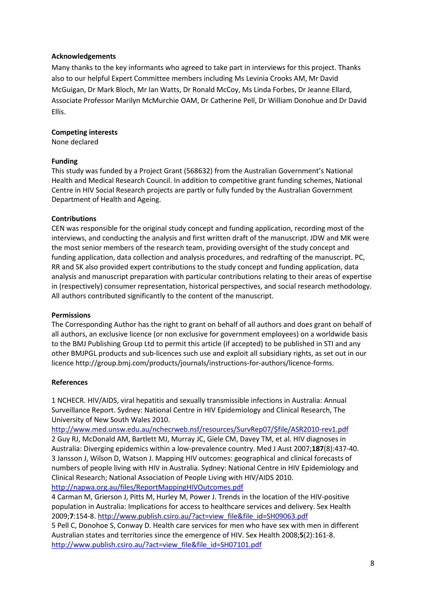### **Acknowledgements**

Many thanks to the key informants who agreed to take part in interviews for this project. Thanks also to our helpful Expert Committee members including Ms Levinia Crooks AM, Mr David McGuigan, Dr Mark Bloch, Mr Ian Watts, Dr Ronald McCoy, Ms Linda Forbes, Dr Jeanne Ellard, Associate Professor Marilyn McMurchie OAM, Dr Catherine Pell, Dr William Donohue and Dr David Ellis.

### **Competing interests**

None declared

### **Funding**

This study was funded by a Project Grant (568632) from the Australian Government's National Health and Medical Research Council. In addition to competitive grant funding schemes, National Centre in HIV Social Research projects are partly or fully funded by the Australian Government Department of Health and Ageing.

### **Contributions**

CEN was responsible for the original study concept and funding application, recording most of the interviews, and conducting the analysis and first written draft of the manuscript. JDW and MK were the most senior members of the research team, providing oversight of the study concept and funding application, data collection and analysis procedures, and redrafting of the manuscript. PC, RR and SK also provided expert contributions to the study concept and funding application, data analysis and manuscript preparation with particular contributions relating to their areas of expertise in (respectively) consumer representation, historical perspectives, and social research methodology. All authors contributed significantly to the content of the manuscript.

#### **Permissions**

The Corresponding Author has the right to grant on behalf of all authors and does grant on behalf of all authors, an exclusive licence (or non exclusive for government employees) on a worldwide basis to the BMJ Publishing Group Ltd to permit this article (if accepted) to be published in STI and any other BMJPGL products and sub-licences such use and exploit all subsidiary rights, as set out in our licence http://group.bmj.com/products/journals/instructions-for-authors/licence-forms.

#### **References**

1 NCHECR. HIV/AIDS, viral hepatitis and sexually transmissible infections in Australia: Annual Surveillance Report. Sydney: National Centre in HIV Epidemiology and Clinical Research, The University of New South Wales 2010.

[http://www.med.unsw.edu.au/nchecrweb.nsf/resources/SurvRep07/\\$file/ASR2010-rev1.pdf](http://www.med.unsw.edu.au/nchecrweb.nsf/resources/SurvRep07/$file/ASR2010-rev1.pdf) 2 Guy RJ, McDonald AM, Bartlett MJ, Murray JC, Giele CM, Davey TM, et al. HIV diagnoses in Australia: Diverging epidemics within a low-prevalence country. Med J Aust 2007;**187**(8):437-40. 3 Jansson J, Wilson D, Watson J. Mapping HIV outcomes: geographical and clinical forecasts of numbers of people living with HIV in Australia. Sydney: National Centre in HIV Epidemiology and Clinical Research; National Association of People Living with HIV/AIDS 2010. <http://napwa.org.au/files/ReportMappingHIVOutcomes.pdf>

4 Carman M, Grierson J, Pitts M, Hurley M, Power J. Trends in the location of the HIV-positive population in Australia: Implications for access to healthcare services and delivery. Sex Health 2009;**7**:154-8[. http://www.publish.csiro.au/?act=view\\_file&file\\_id=SH09063.pdf](http://www.publish.csiro.au/?act=view_file&file_id=SH09063.pdf)

5 Pell C, Donohoe S, Conway D. Health care services for men who have sex with men in different Australian states and territories since the emergence of HIV. Sex Health 2008;**5**(2):161-8. [http://www.publish.csiro.au/?act=view\\_file&file\\_id=SH07101.pdf](http://www.publish.csiro.au/?act=view_file&file_id=SH07101.pdf)